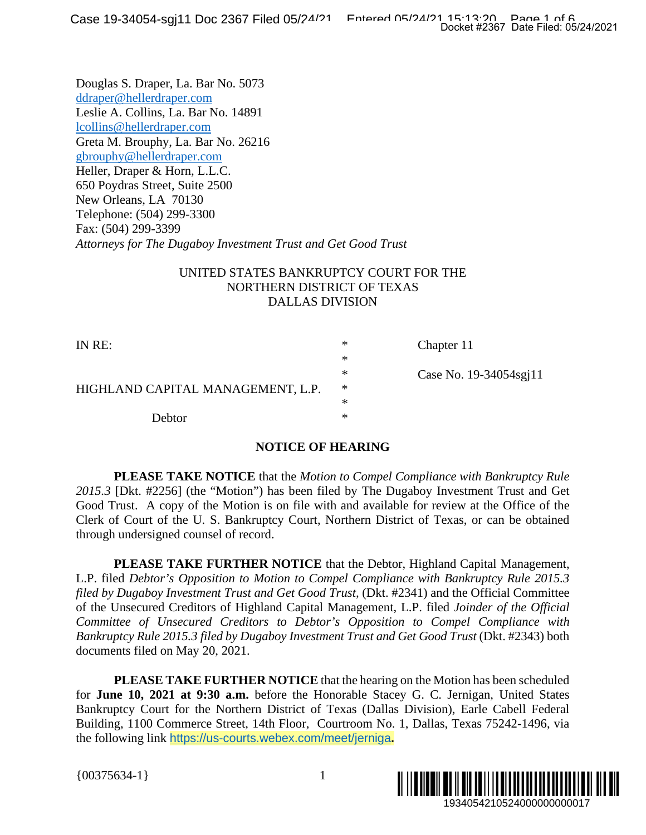Douglas S. Draper, La. Bar No. 5073 ddraper@hellerdraper.com Leslie A. Collins, La. Bar No. 14891 lcollins@hellerdraper.com Greta M. Brouphy, La. Bar No. 26216 gbrouphy@hellerdraper.com Heller, Draper & Horn, L.L.C. 650 Poydras Street, Suite 2500 New Orleans, LA 70130 Telephone: (504) 299-3300 Fax: (504) 299-3399 *Attorneys for The Dugaboy Investment Trust and Get Good Trust* 

## UNITED STATES BANKRUPTCY COURT FOR THE NORTHERN DISTRICT OF TEXAS DALLAS DIVISION

| IN RE:                            | ∗ | Chapter 11             |
|-----------------------------------|---|------------------------|
|                                   | ∗ |                        |
| HIGHLAND CAPITAL MANAGEMENT, L.P. | ∗ | Case No. 19-34054sgi11 |
|                                   | ∗ |                        |
|                                   | ∗ |                        |
| <b>Debtor</b>                     | ∗ |                        |

## **NOTICE OF HEARING**

**PLEASE TAKE NOTICE** that the *Motion to Compel Compliance with Bankruptcy Rule 2015.3* [Dkt. #2256] (the "Motion") has been filed by The Dugaboy Investment Trust and Get Good Trust. A copy of the Motion is on file with and available for review at the Office of the Clerk of Court of the U. S. Bankruptcy Court, Northern District of Texas, or can be obtained through undersigned counsel of record.

**PLEASE TAKE FURTHER NOTICE** that the Debtor, Highland Capital Management, L.P. filed *Debtor's Opposition to Motion to Compel Compliance with Bankruptcy Rule 2015.3 filed by Dugaboy Investment Trust and Get Good Trust,* (Dkt. #2341) and the Official Committee of the Unsecured Creditors of Highland Capital Management, L.P. filed *Joinder of the Official Committee of Unsecured Creditors to Debtor's Opposition to Compel Compliance with Bankruptcy Rule 2015.3 filed by Dugaboy Investment Trust and Get Good Trust* (Dkt. #2343) both documents filed on May 20, 2021. THE<br>
The vida Filed: 05/24/2021<br>
19340548211<br>
19340548211<br>
19340548211<br>
19340548211<br>
19340548211<br>
1934054210000000000017<br>
19340542105240000000000017<br>
19340542105240000000000017<br>
19340542105240000000000017<br>
193405421052400

**PLEASE TAKE FURTHER NOTICE** that the hearing on the Motion has been scheduled for **June 10, 2021 at 9:30 a.m.** before the Honorable Stacey G. C. Jernigan, United States Bankruptcy Court for the Northern District of Texas (Dallas Division), Earle Cabell Federal Building, 1100 Commerce Street, 14th Floor, Courtroom No. 1, Dallas, Texas 75242-1496, via the following link https://us-courts.webex.com/meet/jerniga**.** 

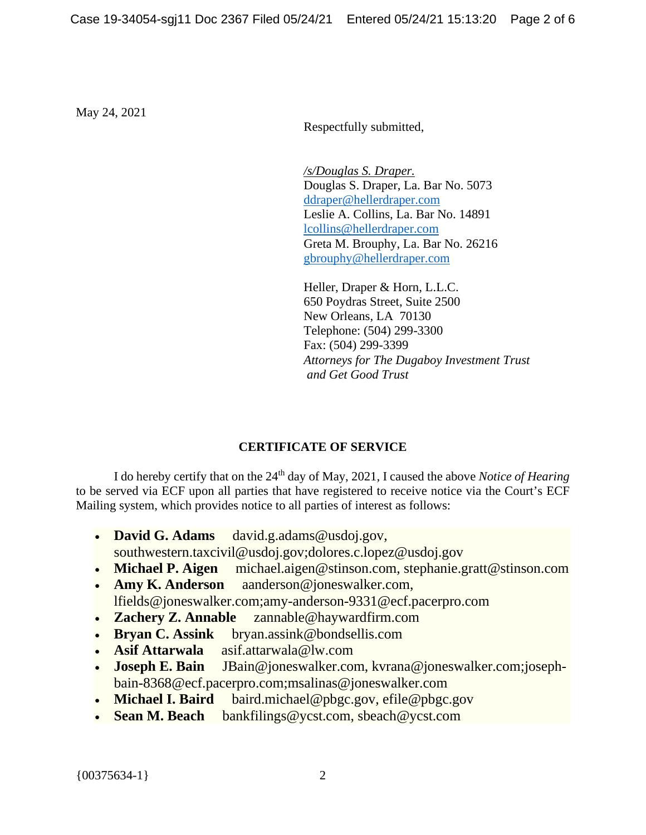May 24, 2021

Respectfully submitted,

*/s/Douglas S. Draper.*  Douglas S. Draper, La. Bar No. 5073 ddraper@hellerdraper.com Leslie A. Collins, La. Bar No. 14891 lcollins@hellerdraper.com Greta M. Brouphy, La. Bar No. 26216 gbrouphy@hellerdraper.com

Heller, Draper & Horn, L.L.C. 650 Poydras Street, Suite 2500 New Orleans, LA 70130 Telephone: (504) 299-3300 Fax: (504) 299-3399 *Attorneys for The Dugaboy Investment Trust and Get Good Trust* 

## **CERTIFICATE OF SERVICE**

I do hereby certify that on the 24<sup>th</sup> day of May, 2021, I caused the above *Notice of Hearing* to be served via ECF upon all parties that have registered to receive notice via the Court's ECF Mailing system, which provides notice to all parties of interest as follows:

- **David G. Adams** david.g.adams@usdoj.gov, southwestern.taxcivil@usdoj.gov;dolores.c.lopez@usdoj.gov
- **Michael P. Aigen** michael.aigen@stinson.com, stephanie.gratt@stinson.com
- **Amy K. Anderson** aanderson@joneswalker.com, lfields@joneswalker.com;amy-anderson-9331@ecf.pacerpro.com
- **Zachery Z. Annable** zannable@haywardfirm.com
- **Bryan C. Assink** bryan.assink@bondsellis.com
- **Asif Attarwala** asif.attarwala@lw.com
- **Joseph E. Bain** JBain@joneswalker.com, kvrana@joneswalker.com;josephbain-8368@ecf.pacerpro.com;msalinas@joneswalker.com
- **Michael I. Baird** baird.michael@pbgc.gov, efile@pbgc.gov
- **Sean M. Beach** bankfilings@ycst.com, sbeach@ycst.com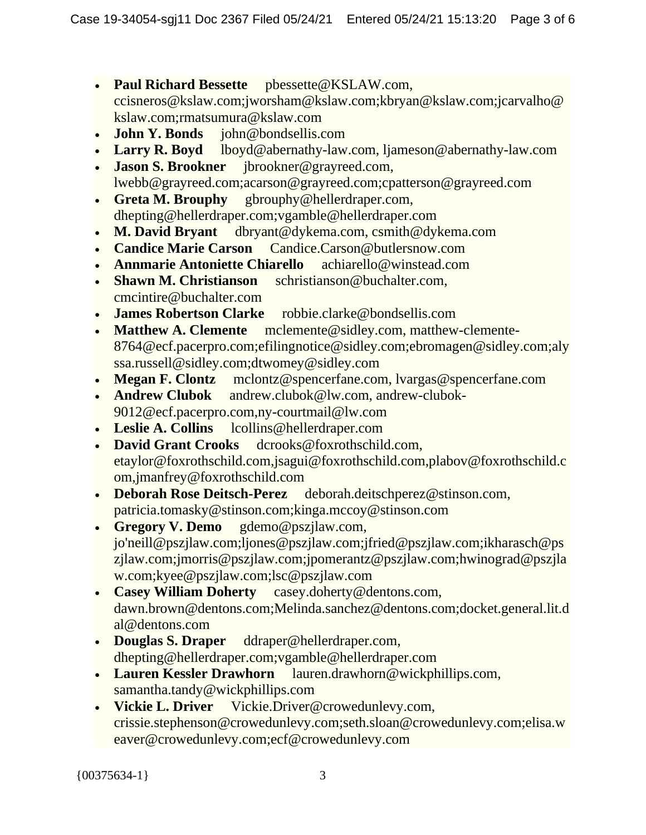- **Paul Richard Bessette** pbessette@KSLAW.com, ccisneros@kslaw.com;jworsham@kslaw.com;kbryan@kslaw.com;jcarvalho@ kslaw.com;rmatsumura@kslaw.com
- **John Y. Bonds** john@bondsellis.com
- **Larry R. Boyd** lboyd@abernathy-law.com, ljameson@abernathy-law.com
- **Jason S. Brookner** jbrookner@grayreed.com, lwebb@grayreed.com;acarson@grayreed.com;cpatterson@grayreed.com
- **Greta M. Brouphy** gbrouphy@hellerdraper.com, dhepting@hellerdraper.com;vgamble@hellerdraper.com
- **M. David Bryant** dbryant@dykema.com, csmith@dykema.com
- **Candice Marie Carson** Candice.Carson@butlersnow.com
- **Annmarie Antoniette Chiarello** achiarello@winstead.com
- **Shawn M. Christianson** schristianson@buchalter.com, cmcintire@buchalter.com
- **James Robertson Clarke** robbie.clarke@bondsellis.com
- **Matthew A. Clemente** mclemente@sidley.com, matthew-clemente-8764@ecf.pacerpro.com;efilingnotice@sidley.com;ebromagen@sidley.com;aly ssa.russell@sidley.com;dtwomey@sidley.com
- **Megan F. Clontz** mclontz@spencerfane.com, lvargas@spencerfane.com
- **Andrew Clubok** andrew.clubok@lw.com, andrew-clubok-9012@ecf.pacerpro.com,ny-courtmail@lw.com
- **Leslie A. Collins** lcollins@hellerdraper.com
- **David Grant Crooks** dcrooks@foxrothschild.com, etaylor@foxrothschild.com,jsagui@foxrothschild.com,plabov@foxrothschild.c om,jmanfrey@foxrothschild.com
- **Deborah Rose Deitsch-Perez** deborah.deitschperez@stinson.com, patricia.tomasky@stinson.com;kinga.mccoy@stinson.com
- **Gregory V. Demo** gdemo@pszjlaw.com, jo'neill@pszjlaw.com;ljones@pszjlaw.com;jfried@pszjlaw.com;ikharasch@ps zjlaw.com;jmorris@pszjlaw.com;jpomerantz@pszjlaw.com;hwinograd@pszjla w.com;kyee@pszjlaw.com;lsc@pszjlaw.com
- **Casey William Doherty** casey.doherty@dentons.com, dawn.brown@dentons.com;Melinda.sanchez@dentons.com;docket.general.lit.d al@dentons.com
- **Douglas S. Draper** ddraper@hellerdraper.com, dhepting@hellerdraper.com;vgamble@hellerdraper.com
- **Lauren Kessler Drawhorn** lauren.drawhorn@wickphillips.com, samantha.tandy@wickphillips.com
- **Vickie L. Driver** Vickie.Driver@crowedunlevy.com, crissie.stephenson@crowedunlevy.com;seth.sloan@crowedunlevy.com;elisa.w eaver@crowedunlevy.com;ecf@crowedunlevy.com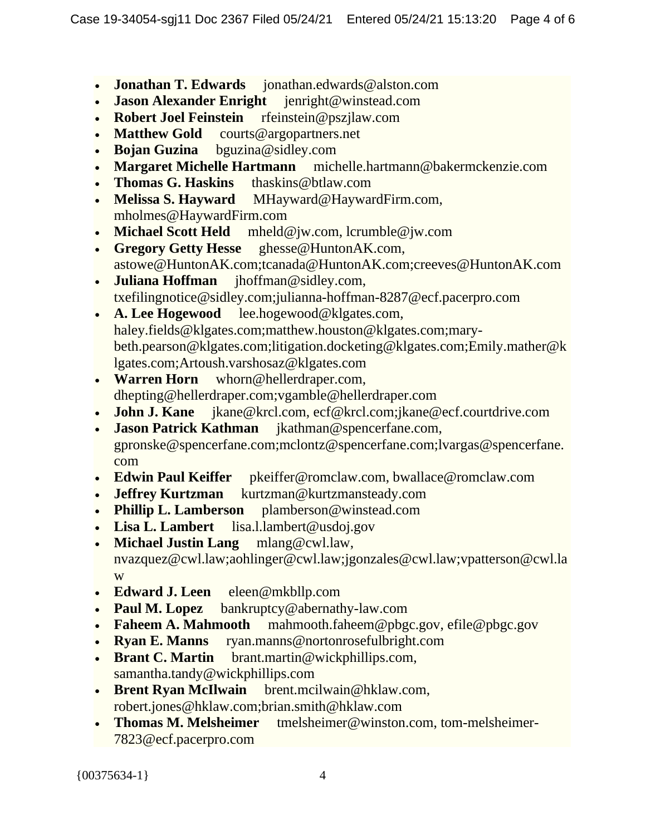- **Jonathan T. Edwards** jonathan.edwards@alston.com
- **Jason Alexander Enright** jenright@winstead.com
- **Robert Joel Feinstein** rfeinstein@pszjlaw.com
- **Matthew Gold** courts@argopartners.net
- **Bojan Guzina** bguzina@sidley.com
- **Margaret Michelle Hartmann** michelle.hartmann@bakermckenzie.com
- **Thomas G. Haskins** thaskins@btlaw.com
- **Melissa S. Hayward** MHayward@HaywardFirm.com, mholmes@HaywardFirm.com
- **Michael Scott Held** mheld@jw.com, lcrumble@jw.com
- **Gregory Getty Hesse** ghesse@HuntonAK.com, astowe@HuntonAK.com;tcanada@HuntonAK.com;creeves@HuntonAK.com
- **Juliana Hoffman** jhoffman@sidley.com, txefilingnotice@sidley.com;julianna-hoffman-8287@ecf.pacerpro.com
- **A. Lee Hogewood** lee.hogewood@klgates.com, haley.fields@klgates.com;matthew.houston@klgates.com;marybeth.pearson@klgates.com;litigation.docketing@klgates.com;Emily.mather@k lgates.com;Artoush.varshosaz@klgates.com
- **Warren Horn** whorn@hellerdraper.com, dhepting@hellerdraper.com;vgamble@hellerdraper.com
- **John J. Kane** jkane@krcl.com, ecf@krcl.com;jkane@ecf.courtdrive.com
- **Jason Patrick Kathman** jkathman@spencerfane.com, gpronske@spencerfane.com;mclontz@spencerfane.com;lvargas@spencerfane. com
- **Edwin Paul Keiffer** pkeiffer@romclaw.com, bwallace@romclaw.com
- **Jeffrey Kurtzman** kurtzman@kurtzmansteady.com
- **Phillip L. Lamberson** plamberson@winstead.com
- **Lisa L. Lambert** lisa.l.lambert@usdoj.gov
- **Michael Justin Lang** mlang@cwl.law, nvazquez@cwl.law;aohlinger@cwl.law;jgonzales@cwl.law;vpatterson@cwl.la w
- **Edward J. Leen** eleen@mkbllp.com
- **Paul M. Lopez** bankruptcy@abernathy-law.com
- **Faheem A. Mahmooth** mahmooth.faheem@pbgc.gov, efile@pbgc.gov
- **Ryan E. Manns** ryan.manns@nortonrosefulbright.com
- **Brant C. Martin** brant.martin@wickphillips.com, samantha.tandy@wickphillips.com
- **Brent Ryan McIlwain** brent.mcilwain@hklaw.com, robert.jones@hklaw.com;brian.smith@hklaw.com
- **Thomas M. Melsheimer** tmelsheimer@winston.com, tom-melsheimer-7823@ecf.pacerpro.com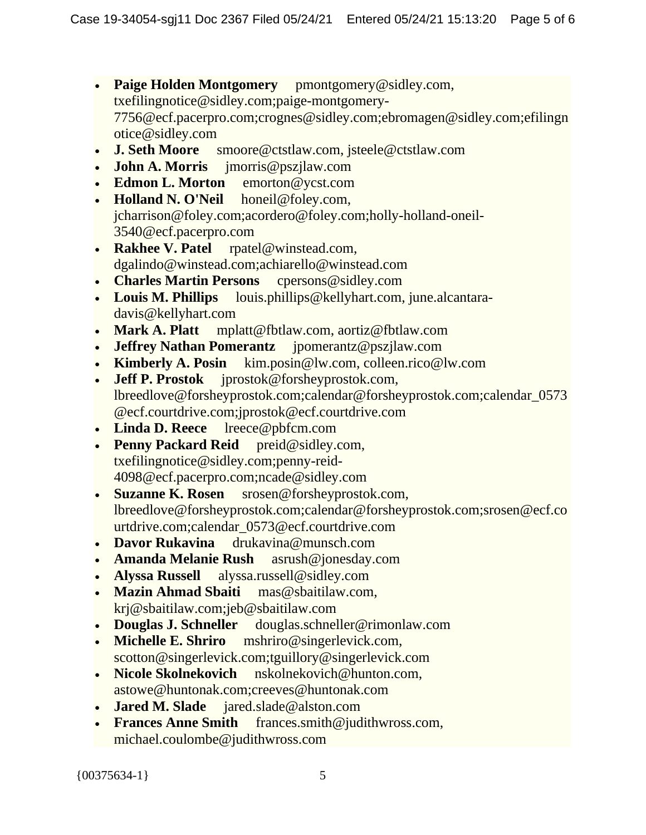- **Paige Holden Montgomery** pmontgomery@sidley.com, txefilingnotice@sidley.com;paige-montgomery-7756@ecf.pacerpro.com;crognes@sidley.com;ebromagen@sidley.com;efilingn otice@sidley.com
- **J. Seth Moore** smoore@ctstlaw.com, jsteele@ctstlaw.com
- **John A. Morris** jmorris@pszjlaw.com
- **Edmon L. Morton** emorton@ycst.com
- **Holland N. O'Neil** honeil@foley.com, jcharrison@foley.com;acordero@foley.com;holly-holland-oneil-3540@ecf.pacerpro.com
- **Rakhee V. Patel** rpatel@winstead.com, dgalindo@winstead.com;achiarello@winstead.com
- **Charles Martin Persons** cpersons@sidley.com
- **Louis M. Phillips** louis.phillips@kellyhart.com, june.alcantaradavis@kellyhart.com
- **Mark A. Platt** mplatt@fbtlaw.com, aortiz@fbtlaw.com
- **Jeffrey Nathan Pomerantz** jpomerantz@pszjlaw.com
- **Kimberly A. Posin** kim.posin@lw.com, colleen.rico@lw.com
- **Jeff P. Prostok** jprostok@forsheyprostok.com, lbreedlove@forsheyprostok.com;calendar@forsheyprostok.com;calendar\_0573 @ecf.courtdrive.com;jprostok@ecf.courtdrive.com
- **Linda D. Reece** lreece@pbfcm.com
- **Penny Packard Reid** preid@sidley.com, txefilingnotice@sidley.com;penny-reid-4098@ecf.pacerpro.com;ncade@sidley.com
- **Suzanne K. Rosen** srosen@forsheyprostok.com, lbreedlove@forsheyprostok.com;calendar@forsheyprostok.com;srosen@ecf.co urtdrive.com;calendar\_0573@ecf.courtdrive.com
- **Davor Rukavina** drukavina@munsch.com
- **Amanda Melanie Rush** asrush@jonesday.com
- **Alyssa Russell** alyssa.russell@sidley.com
- **Mazin Ahmad Sbaiti** mas@sbaitilaw.com, krj@sbaitilaw.com;jeb@sbaitilaw.com
- **Douglas J. Schneller** douglas.schneller@rimonlaw.com
- **Michelle E. Shriro** mshriro@singerlevick.com, scotton@singerlevick.com;tguillory@singerlevick.com
- **Nicole Skolnekovich** nskolnekovich@hunton.com, astowe@huntonak.com;creeves@huntonak.com
- **Jared M. Slade** jared.slade@alston.com
- **Frances Anne Smith** frances.smith@judithwross.com, michael.coulombe@judithwross.com